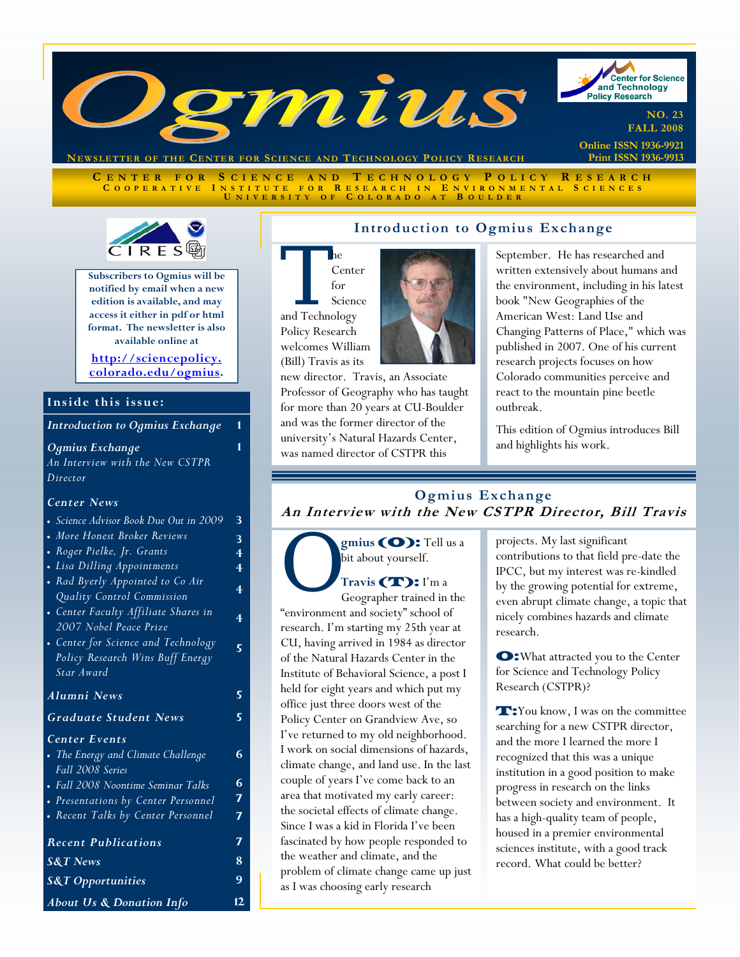

**NEWSLETTER OF THE CENTER FOR SCIENCE AND T ECHNOLOGY POLICY R ESEARCH**

**C ENTER FOR S CIENCE AND T ECHNOLOGY P OLICY R ESEARCH C OOPERATIVE I NSTITUTE FOR R ESEARCH I N E NVIRONMENTAL S CIENCES U NIVERSITY O F C OLORADO A T B OULDER**



**Subscribers to Ogmius will be notified by email when a new edition is available, and may access it either in pdf or html format. The newsletter is also available online at** 

**http://sciencepolicy. colorado.edu/ogmius.** 

**1** 

**4** 

**5** 

### **Inside this issue:**

**Introduction to Ogmius Exchange** 

*Ogmius Exchange An Interview with the New CSTPR Director*

#### *Center News*

|  |                                                |  | • Science Advisor Book Due Out in 2009 |  |
|--|------------------------------------------------|--|----------------------------------------|--|
|  | $\mathbf{r}$ , we have the set of $\mathbf{r}$ |  |                                        |  |

- *More Honest Broker Reviews*  • *Roger Pielke, Jr. Grants*
- *Lisa Dilling Appointments*
- *Rad Byerly Appointed to Co Air*
- *Quality Control Commission*  • *Center Faculty Affiliate Shares in*
- *2007 Nobel Peace Prize*  • *Center for Science and Technology*
- *Policy Research Wins Buff Energy Star Award*

*Alumni News* **5**  *Graduate Student News* **5**  *Center Events*  • *The Energy and Climate Challenge Fall 2008 Series* • *Fall 2008 Noontime Seminar Talks*  • *Presentations by Center Personnel*  • *Recent Talks by Center Personnel*  **6 6 7 7**  *Recent Publications* **7 S&T** News **8** *About Us & Donation Info* **12**  *S&T Opportunities* **9** 



new director. Travis, an Associate Professor of Geography who has taught for more than 20 years at CU-Boulder and was the former director of the university's Natural Hazards Center, was named director of CSTPR this



This edition of Ogmius introduces Bill and highlights his work.

## **Ogmius Exchange An Interview with the New CSTPR Director, Bill Travis**

**Solution Constrained in the Constrained in the Geographer trained in the** bit about yourself.

Travis (T): I'm a "environment and society" school of research. I'm starting my 25th year at CU, having arrived in 1984 as director of the Natural Hazards Center in the Institute of Behavioral Science, a post I held for eight years and which put my office just three doors west of the Policy Center on Grandview Ave, so I've returned to my old neighborhood. I work on social dimensions of hazards, climate change, and land use. In the last couple of years I've come back to an area that motivated my early career: the societal effects of climate change. Since I was a kid in Florida I've been fascinated by how people responded to the weather and climate, and the problem of climate change came up just as I was choosing early research

projects. My last significant contributions to that field pre-date the IPCC, but my interest was re-kindled by the growing potential for extreme, even abrupt climate change, a topic that nicely combines hazards and climate research.

O:What attracted you to the Center for Science and Technology Policy Research (CSTPR)?

T:You know, I was on the committee searching for a new CSTPR director, and the more I learned the more I recognized that this was a unique institution in a good position to make progress in research on the links between society and environment. It has a high-quality team of people, housed in a premier environmental sciences institute, with a good track record. What could be better?

## **Introduction to Ogmius Exchange**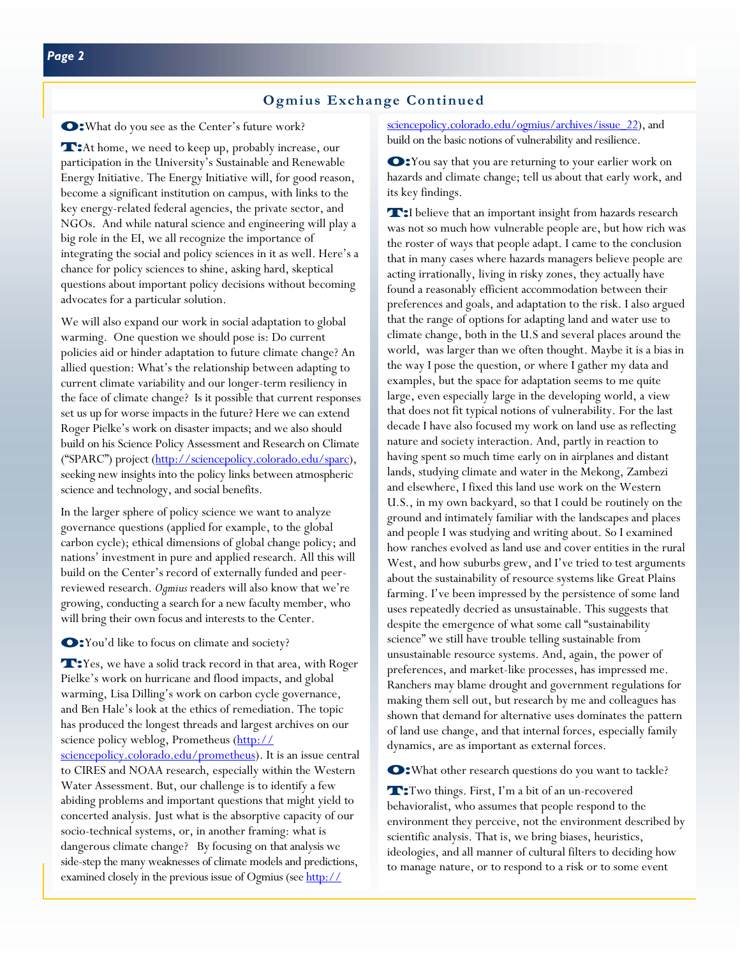O:What do you see as the Center's future work?

**T:**At home, we need to keep up, probably increase, our participation in the University's Sustainable and Renewable Energy Initiative. The Energy Initiative will, for good reason, become a significant institution on campus, with links to the key energy-related federal agencies, the private sector, and NGOs. And while natural science and engineering will play a big role in the EI, we all recognize the importance of integrating the social and policy sciences in it as well. Here's a chance for policy sciences to shine, asking hard, skeptical questions about important policy decisions without becoming advocates for a particular solution.

We will also expand our work in social adaptation to global warming. One question we should pose is: Do current policies aid or hinder adaptation to future climate change? An allied question: What's the relationship between adapting to current climate variability and our longer-term resiliency in the face of climate change? Is it possible that current responses set us up for worse impacts in the future? Here we can extend Roger Pielke's work on disaster impacts; and we also should build on his Science Policy Assessment and Research on Climate ("SPARC") project (http://sciencepolicy.colorado.edu/sparc), seeking new insights into the policy links between atmospheric science and technology, and social benefits.

In the larger sphere of policy science we want to analyze governance questions (applied for example, to the global carbon cycle); ethical dimensions of global change policy; and nations' investment in pure and applied research. All this will build on the Center's record of externally funded and peerreviewed research. *Ogmius* readers will also know that we're growing, conducting a search for a new faculty member, who will bring their own focus and interests to the Center.

#### O:You'd like to focus on climate and society?

**T:**Yes, we have a solid track record in that area, with Roger Pielke's work on hurricane and flood impacts, and global warming, Lisa Dilling's work on carbon cycle governance, and Ben Hale's look at the ethics of remediation. The topic has produced the longest threads and largest archives on our science policy weblog, Prometheus (http:// sciencepolicy.colorado.edu/prometheus). It is an issue central to CIRES and NOAA research, especially within the Western Water Assessment. But, our challenge is to identify a few abiding problems and important questions that might yield to concerted analysis. Just what is the absorptive capacity of our socio-technical systems, or, in another framing: what is dangerous climate change? By focusing on that analysis we side-step the many weaknesses of climate models and predictions, examined closely in the previous issue of Ogmius (see http://

sciencepolicy.colorado.edu/ogmius/archives/issue 22), and build on the basic notions of vulnerability and resilience.

O:You say that you are returning to your earlier work on hazards and climate change; tell us about that early work, and its key findings.

T:I believe that an important insight from hazards research was not so much how vulnerable people are, but how rich was the roster of ways that people adapt. I came to the conclusion that in many cases where hazards managers believe people are acting irrationally, living in risky zones, they actually have found a reasonably efficient accommodation between their preferences and goals, and adaptation to the risk. I also argued that the range of options for adapting land and water use to climate change, both in the U.S and several places around the world, was larger than we often thought. Maybe it is a bias in the way I pose the question, or where I gather my data and examples, but the space for adaptation seems to me quite large, even especially large in the developing world, a view that does not fit typical notions of vulnerability. For the last decade I have also focused my work on land use as reflecting nature and society interaction. And, partly in reaction to having spent so much time early on in airplanes and distant lands, studying climate and water in the Mekong, Zambezi and elsewhere, I fixed this land use work on the Western U.S., in my own backyard, so that I could be routinely on the ground and intimately familiar with the landscapes and places and people I was studying and writing about. So I examined how ranches evolved as land use and cover entities in the rural West, and how suburbs grew, and I've tried to test arguments about the sustainability of resource systems like Great Plains farming. I've been impressed by the persistence of some land uses repeatedly decried as unsustainable. This suggests that despite the emergence of what some call "sustainability science" we still have trouble telling sustainable from unsustainable resource systems. And, again, the power of preferences, and market-like processes, has impressed me. Ranchers may blame drought and government regulations for making them sell out, but research by me and colleagues has shown that demand for alternative uses dominates the pattern of land use change, and that internal forces, especially family dynamics, are as important as external forces.

O:What other research questions do you want to tackle?

T:Two things. First, I'm a bit of an un-recovered behavioralist, who assumes that people respond to the environment they perceive, not the environment described by scientific analysis. That is, we bring biases, heuristics, ideologies, and all manner of cultural filters to deciding how to manage nature, or to respond to a risk or to some event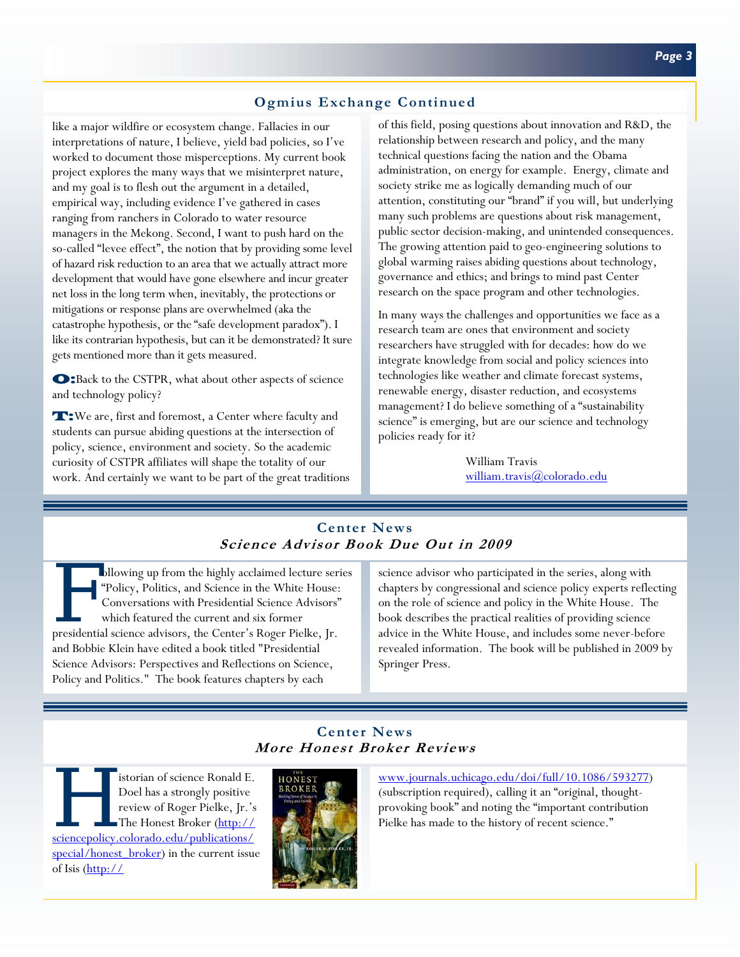# **Ogmius Exchange Continued**

like a major wildfire or ecosystem change. Fallacies in our interpretations of nature, I believe, yield bad policies, so I've worked to document those misperceptions. My current book project explores the many ways that we misinterpret nature, and my goal is to flesh out the argument in a detailed, empirical way, including evidence I've gathered in cases ranging from ranchers in Colorado to water resource managers in the Mekong. Second, I want to push hard on the so-called "levee effect", the notion that by providing some level of hazard risk reduction to an area that we actually attract more development that would have gone elsewhere and incur greater net loss in the long term when, inevitably, the protections or mitigations or response plans are overwhelmed (aka the catastrophe hypothesis, or the "safe development paradox"). I like its contrarian hypothesis, but can it be demonstrated? It sure gets mentioned more than it gets measured.

O:Back to the CSTPR, what about other aspects of science and technology policy?

T:We are, first and foremost, a Center where faculty and students can pursue abiding questions at the intersection of policy, science, environment and society. So the academic curiosity of CSTPR affiliates will shape the totality of our work. And certainly we want to be part of the great traditions of this field, posing questions about innovation and R&D, the relationship between research and policy, and the many technical questions facing the nation and the Obama administration, on energy for example. Energy, climate and society strike me as logically demanding much of our attention, constituting our "brand" if you will, but underlying many such problems are questions about risk management, public sector decision-making, and unintended consequences. The growing attention paid to geo-engineering solutions to global warming raises abiding questions about technology, governance and ethics; and brings to mind past Center research on the space program and other technologies.

In many ways the challenges and opportunities we face as a research team are ones that environment and society researchers have struggled with for decades: how do we integrate knowledge from social and policy sciences into technologies like weather and climate forecast systems, renewable energy, disaster reduction, and ecosystems management? I do believe something of a "sustainability science" is emerging, but are our science and technology policies ready for it?

> William Travis william.travis@colorado.edu

# **Center News Science Advisor Book Due Out in 2009**

ollowing up from the highly acclaimed lecture series "Policy, Politics, and Science in the White House: Conversations with Presidential Science Advisors" which featured the current and six former presidential science advisors, the Center's Roger Pielke, Jr. and Bobbie Klein have edited a book titled "Presidential Science Advisors: Perspectives and Reflections on Science, Policy and Politics." The book features chapters by each

science advisor who participated in the series, along with chapters by congressional and science policy experts reflecting on the role of science and policy in the White House. The book describes the practical realities of providing science advice in the White House, and includes some never-before revealed information. The book will be published in 2009 by Springer Press.

# **Center News More Honest Broker Reviews**

Sistorian of science Ronald E.<br>
Doel has a strongly positive<br>
review of Roger Pielke, Jr.'s<br>
The Honest Broker (http://<br>
sciencepolicy.colorado.edu/publications/ Doel has a strongly positive review of Roger Pielke, Jr.'s The Honest Broker (http:// special/honest\_broker) in the current issue of Isis (http://



www.journals.uchicago.edu/doi/full/10.1086/593277) (subscription required), calling it an "original, thoughtprovoking book" and noting the "important contribution Pielke has made to the history of recent science."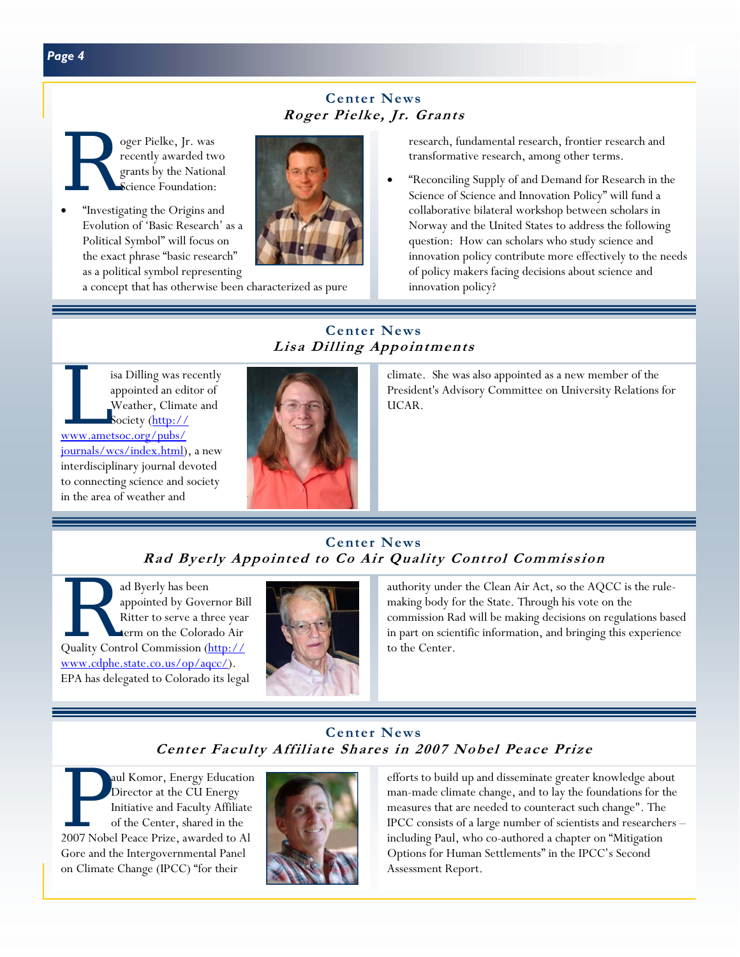# **Center News Roger Pielke, Jr. Grants**

Separate Pielke, Jr. was<br>recently awarded two grants by the Nation Science Foundation: recently awarded two grants by the National Science Foundation:

• "Investigating the Origins and Evolution of 'Basic Research' as a Political Symbol" will focus on the exact phrase "basic research" as a political symbol representing



a concept that has otherwise been characterized as pure

research, fundamental research, frontier research and transformative research, among other terms.

• "Reconciling Supply of and Demand for Research in the Science of Science and Innovation Policy" will fund a collaborative bilateral workshop between scholars in Norway and the United States to address the following question: How can scholars who study science and innovation policy contribute more effectively to the needs of policy makers facing decisions about science and innovation policy?

# **Center News Lisa Dilling Appointments**

isa Dilling was recently<br>appointed an editor of<br>Weather, Climate and<br>Society (http:// appointed an editor of Weather, Climate and Society (http:// www.ametsoc.org/pubs/ journals/wcs/index.html), a new interdisciplinary journal devoted to connecting science and society in the area of weather and



climate. She was also appointed as a new member of the President's Advisory Committee on University Relations for UCAR.

# **Center News Rad Byerly Appointed to Co Air Quality Control Commission**

ad Byerly has been<br>
appointed by Governor Bi<br>
Ritter to serve a three yea<br>
term on the Colorado Air<br>
Quality Control Commission (http:// appointed by Governor Bill Ritter to serve a three year term on the Colorado Air www.cdphe.state.co.us/op/aqcc/). EPA has delegated to Colorado its legal



authority under the Clean Air Act, so the AQCC is the rulemaking body for the State. Through his vote on the commission Rad will be making decisions on regulations based in part on scientific information, and bringing this experience to the Center.

# **Center News Center Faculty Affiliate Shares in 2007 Nobel Peace Prize**

P aul Komor, Energy Education<br>
Director at the CU Energy<br>
Initiative and Faculty Affiliate<br>
of the Center, shared in the<br>
2007 Nobel Peace Prize, awarded to Al Director at the CU Energy Initiative and Faculty Affiliate of the Center, shared in the Gore and the Intergovernmental Panel on Climate Change (IPCC) "for their



efforts to build up and disseminate greater knowledge about man-made climate change, and to lay the foundations for the measures that are needed to counteract such change". The IPCC consists of a large number of scientists and researchers – including Paul, who co-authored a chapter on "Mitigation Options for Human Settlements" in the IPCC's Second Assessment Report.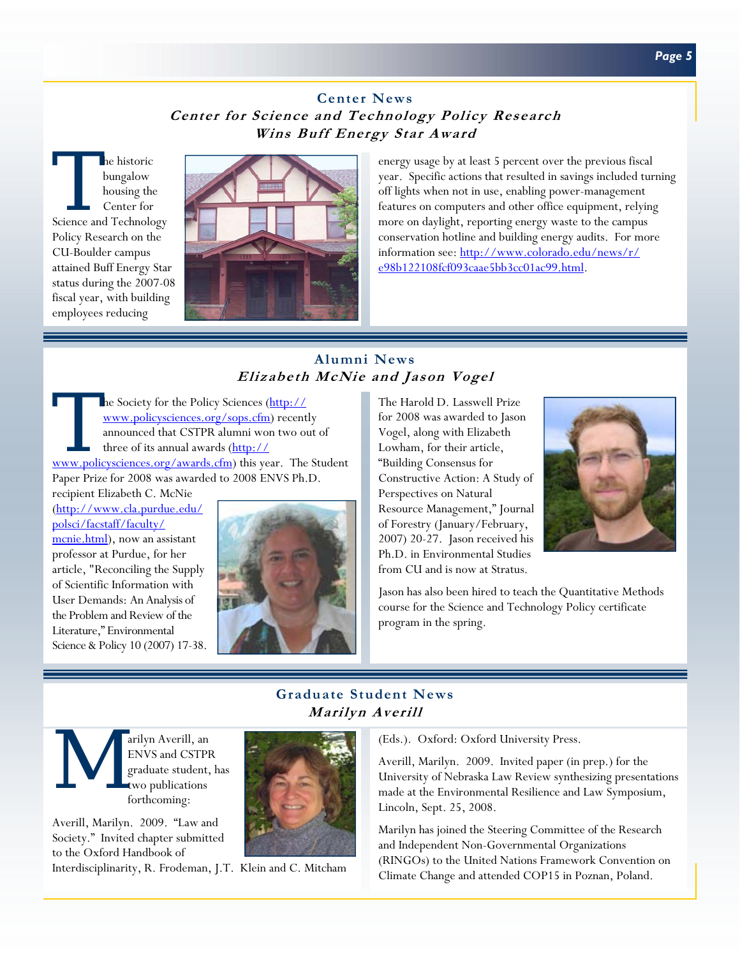# **Center News Center for Science and Technology Policy Research Wins Buff Energy Star Award**

The historic<br>
bungalow<br>
housing the<br>
Center for<br>
Science and Technology bungalow housing the Center for Policy Research on the CU-Boulder campus attained Buff Energy Star status during the 2007-08 fiscal year, with building employees reducing



energy usage by at least 5 percent over the previous fiscal year. Specific actions that resulted in savings included turning off lights when not in use, enabling power-management features on computers and other office equipment, relying more on daylight, reporting energy waste to the campus conservation hotline and building energy audits. For more information see: http://www.colorado.edu/news/r/ e98b122108fcf093caae5bb3cc01ac99.html.

# **Alumni News Elizabeth McNie and Jason Vogel**

The Society for the Policy Sciences (http://<br>
www.policysciences.org/sops.cfm) recently<br>
announced that CSTPR alumni won two out of<br>
three of its annual awards (<u>http://</u><br>
www.policysciences.org/awards.cfm) this year. The www.policysciences.org/sops.cfm) recently announced that CSTPR alumni won two out of three of its annual awards (http:// Paper Prize for 2008 was awarded to 2008 ENVS Ph.D. recipient Elizabeth C. McNie

(http://www.cla.purdue.edu/ polsci/facstaff/faculty/ mcnie.html), now an assistant professor at Purdue, for her article, "Reconciling the Supply of Scientific Information with User Demands: An Analysis of the Problem and Review of the Literature," Environmental Science & Policy 10 (2007) 17-38.



The Harold D. Lasswell Prize for 2008 was awarded to Jason Vogel, along with Elizabeth Lowham, for their article, "Building Consensus for Constructive Action: A Study of Perspectives on Natural Resource Management," Journal of Forestry (January/February, 2007) 20-27. Jason received his Ph.D. in Environmental Studies from CU and is now at Stratus.



Jason has also been hired to teach the Quantitative Methods course for the Science and Technology Policy certificate program in the spring.

# **Graduate Student News Marilyn Averill**



ENVS and CSTPR graduate student, has two publications forthcoming:

Averill, Marilyn. 2009. "Law and Society." Invited chapter submitted to the Oxford Handbook of

Interdisciplinarity, R. Frodeman, J.T. Klein and C. Mitcham



Averill, Marilyn. 2009. Invited paper (in prep.) for the University of Nebraska Law Review synthesizing presentations made at the Environmental Resilience and Law Symposium, Lincoln, Sept. 25, 2008.

Marilyn has joined the Steering Committee of the Research and Independent Non-Governmental Organizations (RINGOs) to the United Nations Framework Convention on Climate Change and attended COP15 in Poznan, Poland.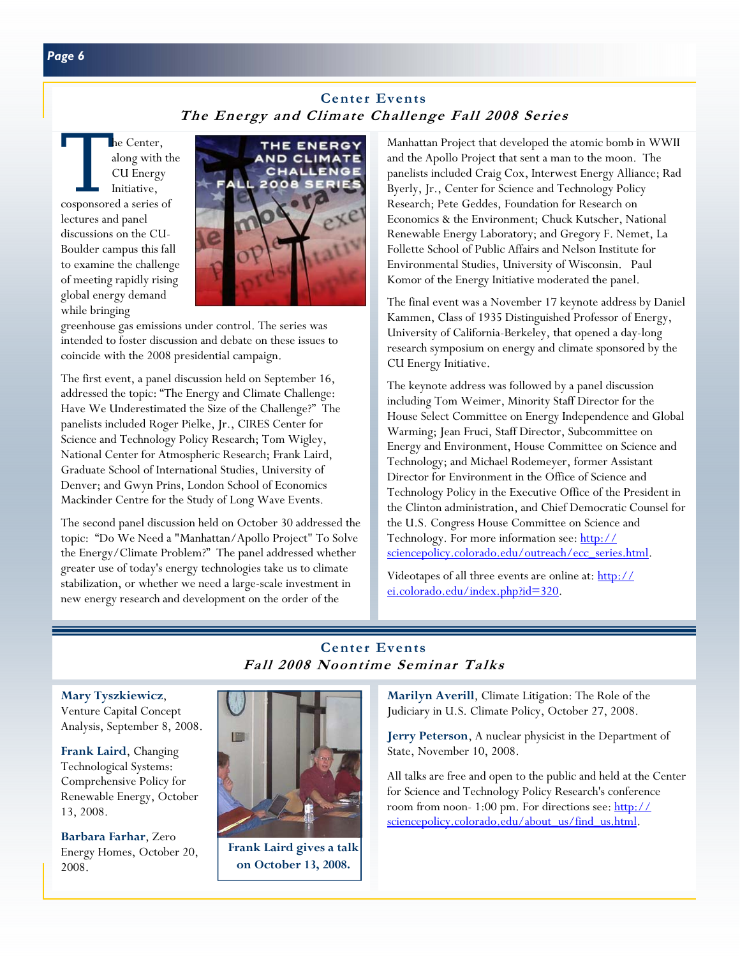# **Center Events The Energy and Climate Challenge Fall 2008 Series**

The Center,<br>
along with the<br>
CU Energy<br>
Initiative,<br>
cosponsored a series of along with the CU Energy Initiative, lectures and panel discussions on the CU-Boulder campus this fall to examine the challenge of meeting rapidly rising global energy demand while bringing



greenhouse gas emissions under control. The series was intended to foster discussion and debate on these issues to coincide with the 2008 presidential campaign.

The first event, a panel discussion held on September 16, addressed the topic: "The Energy and Climate Challenge: Have We Underestimated the Size of the Challenge?" The panelists included Roger Pielke, Jr., CIRES Center for Science and Technology Policy Research; Tom Wigley, National Center for Atmospheric Research; Frank Laird, Graduate School of International Studies, University of Denver; and Gwyn Prins, London School of Economics Mackinder Centre for the Study of Long Wave Events.

The second panel discussion held on October 30 addressed the topic: "Do We Need a "Manhattan/Apollo Project" To Solve the Energy/Climate Problem?" The panel addressed whether greater use of today's energy technologies take us to climate stabilization, or whether we need a large-scale investment in new energy research and development on the order of the

Manhattan Project that developed the atomic bomb in WWII and the Apollo Project that sent a man to the moon. The panelists included Craig Cox, Interwest Energy Alliance; Rad Byerly, Jr., Center for Science and Technology Policy Research; Pete Geddes, Foundation for Research on Economics & the Environment; Chuck Kutscher, National Renewable Energy Laboratory; and Gregory F. Nemet, La Follette School of Public Affairs and Nelson Institute for Environmental Studies, University of Wisconsin. Paul Komor of the Energy Initiative moderated the panel.

The final event was a November 17 keynote address by Daniel Kammen, Class of 1935 Distinguished Professor of Energy, University of California-Berkeley, that opened a day-long research symposium on energy and climate sponsored by the CU Energy Initiative.

The keynote address was followed by a panel discussion including Tom Weimer, Minority Staff Director for the House Select Committee on Energy Independence and Global Warming; Jean Fruci, Staff Director, Subcommittee on Energy and Environment, House Committee on Science and Technology; and Michael Rodemeyer, former Assistant Director for Environment in the Office of Science and Technology Policy in the Executive Office of the President in the Clinton administration, and Chief Democratic Counsel for the U.S. Congress House Committee on Science and Technology. For more information see: http:// sciencepolicy.colorado.edu/outreach/ecc\_series.html.

Videotapes of all three events are online at: http:// ei.colorado.edu/index.php?id=320.

# **Center Events Fall 2008 Noontime Seminar Talks**

**Mary Tyszkiewicz**, Venture Capital Concept Analysis, September 8, 2008.

**Frank Laird**, Changing Technological Systems: Comprehensive Policy for Renewable Energy, October 13, 2008.

**Barbara Farhar**, Zero Energy Homes, October 20, 2008.



**Frank Laird gives a talk on October 13, 2008.** 

**Marilyn Averill**, Climate Litigation: The Role of the Judiciary in U.S. Climate Policy, October 27, 2008.

**Jerry Peterson**, A nuclear physicist in the Department of State, November 10, 2008.

All talks are free and open to the public and held at the Center for Science and Technology Policy Research's conference room from noon- 1:00 pm. For directions see: http:// sciencepolicy.colorado.edu/about\_us/find\_us.html.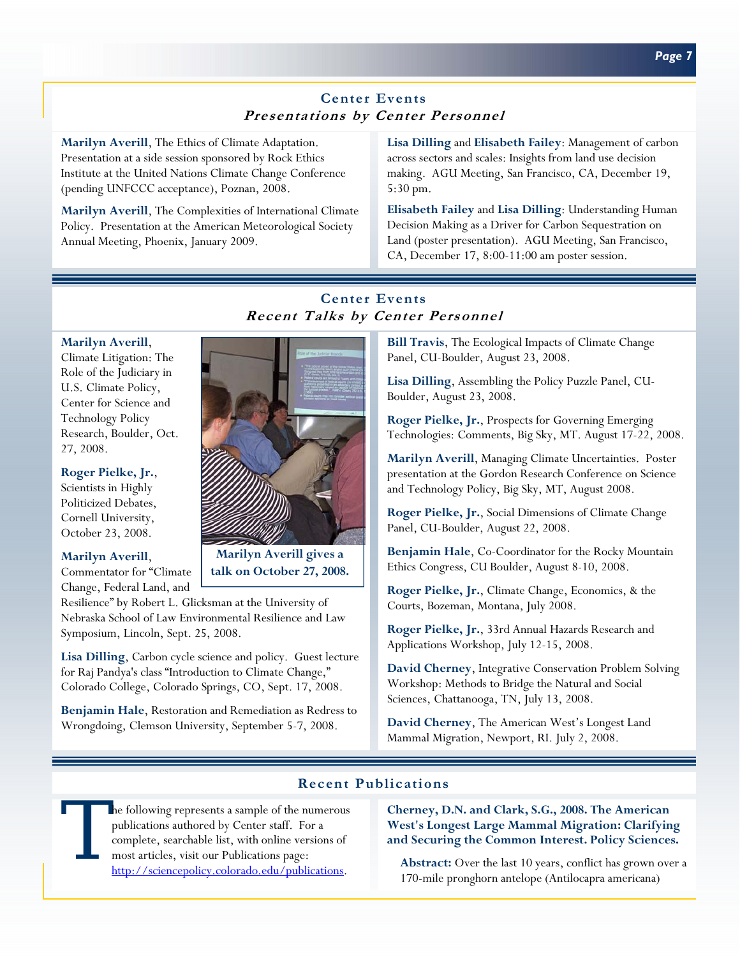# **Center Events Presentations by Center Personnel**

**Marilyn Averill**, The Ethics of Climate Adaptation. Presentation at a side session sponsored by Rock Ethics Institute at the United Nations Climate Change Conference (pending UNFCCC acceptance), Poznan, 2008.

**Marilyn Averill**, The Complexities of International Climate Policy. Presentation at the American Meteorological Society Annual Meeting, Phoenix, January 2009.

**Lisa Dilling** and **Elisabeth Failey**: Management of carbon across sectors and scales: Insights from land use decision making. AGU Meeting, San Francisco, CA, December 19, 5:30 pm.

**Elisabeth Failey** and **Lisa Dilling**: Understanding Human Decision Making as a Driver for Carbon Sequestration on Land (poster presentation). AGU Meeting, San Francisco, CA, December 17, 8:00-11:00 am poster session.

# **Center Events Recent Talks by Center Personnel**

## **Marilyn Averill**,

Climate Litigation: The Role of the Judiciary in U.S. Climate Policy, Center for Science and Technology Policy Research, Boulder, Oct. 27, 2008.

## **Roger Pielke, Jr.**,

Scientists in Highly Politicized Debates, Cornell University, October 23, 2008.

### **Marilyn Averill**,

Commentator for "Climate Change, Federal Land, and

Resilience" by Robert L. Glicksman at the University of Nebraska School of Law Environmental Resilience and Law Symposium, Lincoln, Sept. 25, 2008.

**Lisa Dilling**, Carbon cycle science and policy. Guest lecture for Raj Pandya's class "Introduction to Climate Change," Colorado College, Colorado Springs, CO, Sept. 17, 2008.

**Benjamin Hale**, Restoration and Remediation as Redress to Wrongdoing, Clemson University, September 5-7, 2008.

**Bill Travis**, The Ecological Impacts of Climate Change Panel, CU-Boulder, August 23, 2008.

**Lisa Dilling**, Assembling the Policy Puzzle Panel, CU-Boulder, August 23, 2008.

**Roger Pielke, Jr.**, Prospects for Governing Emerging Technologies: Comments, Big Sky, MT. August 17-22, 2008.

**Marilyn Averill**, Managing Climate Uncertainties. Poster presentation at the Gordon Research Conference on Science and Technology Policy, Big Sky, MT, August 2008.

**Roger Pielke, Jr.**, Social Dimensions of Climate Change Panel, CU-Boulder, August 22, 2008.

**Benjamin Hale**, Co-Coordinator for the Rocky Mountain Ethics Congress, CU Boulder, August 8-10, 2008.

**Roger Pielke, Jr.**, Climate Change, Economics, & the Courts, Bozeman, Montana, July 2008.

**Roger Pielke, Jr.**, 33rd Annual Hazards Research and Applications Workshop, July 12-15, 2008.

**David Cherney**, Integrative Conservation Problem Solving Workshop: Methods to Bridge the Natural and Social Sciences, Chattanooga, TN, July 13, 2008.

**David Cherney**, The American West's Longest Land Mammal Migration, Newport, RI. July 2, 2008.

## **Recent Publications**

he following represents a sample of the numerous publications authored by Center staff. For a complete, searchable list, with online versions of most articles, visit our Publications page: http://sciencepolicy.colorado.edu/publications.

**Cherney, D.N. and Clark, S.G., 2008. The American West's Longest Large Mammal Migration: Clarifying and Securing the Common Interest. Policy Sciences.** 

Abstract: Over the last 10 years, conflict has grown over a 170-mile pronghorn antelope (Antilocapra americana)

**Marilyn Averill gives a talk on October 27, 2008.** 

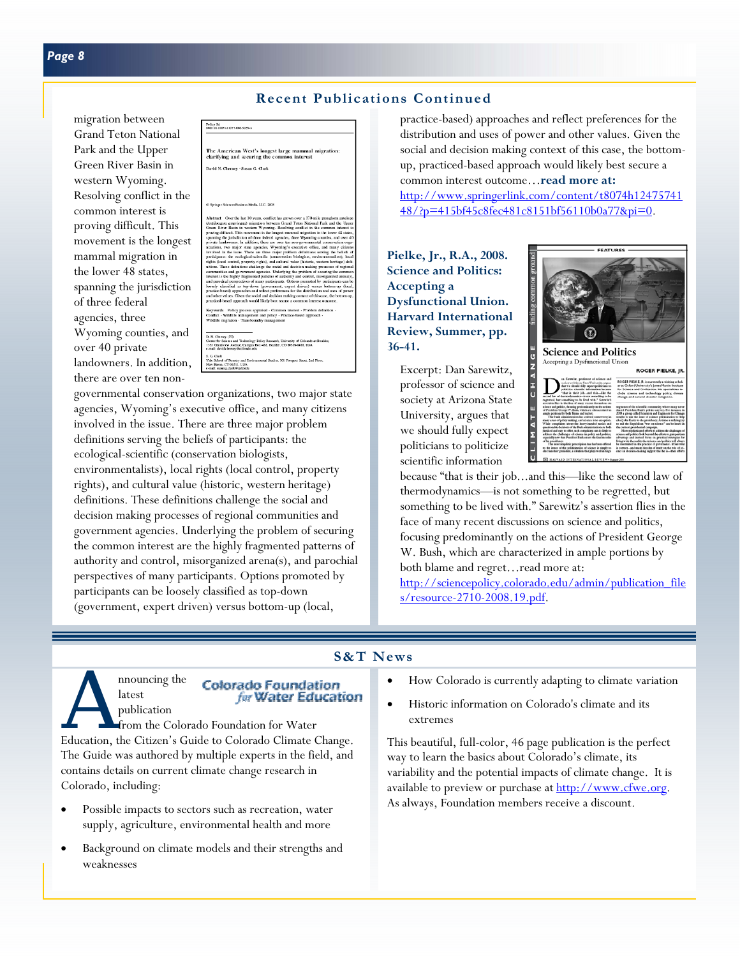## **Recent Publications Continued**

migration between Grand Teton National Park and the Upper Green River Basin in western Wyoming. Resolving conflict in the common interest is proving difficult. This movement is the longest mammal migration in the lower 48 states, spanning the jurisdiction of three federal agencies, three Wyoming counties, and over 40 private landowners. In addition, there are over ten non-



governmental conservation organizations, two major state agencies, Wyoming's executive office, and many citizens involved in the issue. There are three major problem definitions serving the beliefs of participants: the ecological-scientific (conservation biologists, environmentalists), local rights (local control, property rights), and cultural value (historic, western heritage) definitions. These definitions challenge the social and decision making processes of regional communities and government agencies. Underlying the problem of securing the common interest are the highly fragmented patterns of authority and control, misorganized arena(s), and parochial perspectives of many participants. Options promoted by participants can be loosely classified as top-down (government, expert driven) versus bottom-up (local,

practice-based) approaches and reflect preferences for the distribution and uses of power and other values. Given the social and decision making context of this case, the bottomup, practiced-based approach would likely best secure a common interest outcome…**read more at:** 

http://www.springerlink.com/content/t8074h12475741 48/?p=415bf45c8fec481c8151bf56110b0a77&pi=0.

**Pielke, Jr., R.A., 2008. Science and Politics: Accepting a Dysfunctional Union. Harvard International Review, Summer, pp. 36-41.** 

Excerpt: Dan Sarewitz, professor of science and society at Arizona State University, argues that we should fully expect politicians to politicize scientific information



because "that is their job...and this—like the second law of thermodynamics—is not something to be regretted, but something to be lived with." Sarewitz's assertion flies in the face of many recent discussions on science and politics, focusing predominantly on the actions of President George W. Bush, which are characterized in ample portions by both blame and regret…read more at:

http://sciencepolicy.colorado.edu/admin/publication\_file s/resource-2710-2008.19.pdf.

## **S&T News**

latest publication

## **Colorado Foundation** for Water Education

mouncing the **Colorado Foundation**<br>
latest for **Water Education**<br>
from the Colorado Foundation for Water<br>
Education, the Citizen's Guide to Colorado Climate Change. from the Colorado Foundation for Water The Guide was authored by multiple experts in the field, and contains details on current climate change research in Colorado, including:

- Possible impacts to sectors such as recreation, water supply, agriculture, environmental health and more
- Background on climate models and their strengths and weaknesses
- How Colorado is currently adapting to climate variation
- Historic information on Colorado's climate and its extremes

This beautiful, full-color, 46 page publication is the perfect way to learn the basics about Colorado's climate, its variability and the potential impacts of climate change. It is available to preview or purchase at http://www.cfwe.org. As always, Foundation members receive a discount.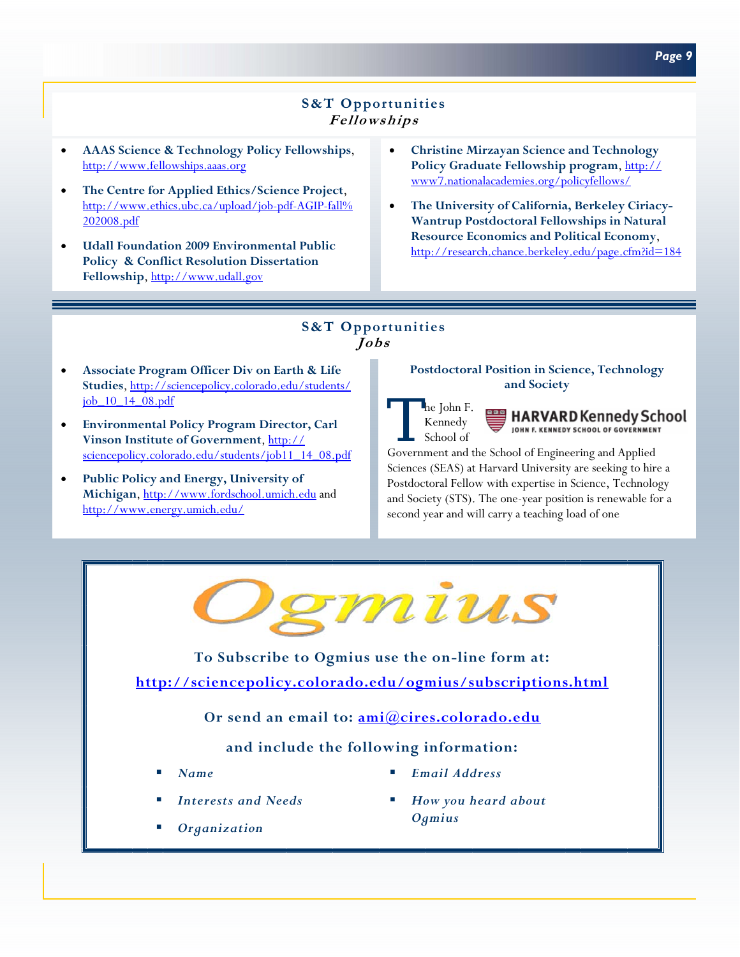# **S&T Opportunities Fellowships**

- **AAAS Science & Technology Policy Fellowships**, http://www.fellowships.aaas.org
- **The Centre for Applied Ethics/Science Project**, http://www.ethics.ubc.ca/upload/job-pdf-AGIP-fall% 202008.pdf
- **Udall Foundation 2009 Environmental Public Policy & Conflict Resolution Dissertation Fellowship**, http://www.udall.gov
- **Christine Mirzayan Science and Technology**  Policy Graduate Fellowship program, http:// www7.nationalacademies.org/policyfellows/
- **The University of California, Berkeley Ciriacy-Wantrup Postdoctoral Fellowships in Natural Resource Economics and Political Economy**, http://research.chance.berkeley.edu/page.cfm?id=184

## **S&T Opportunities Jobs**

- **Associate Program Officer Div on Earth & Life Studies**, http://sciencepolicy.colorado.edu/students/ job\_10\_14\_08.pdf
- **Environmental Policy Program Director, Carl Vinson Institute of Government**, http:// sciencepolicy.colorado.edu/students/job11\_14\_08.pdf
- **Public Policy and Energy, University of Michigan**, http://www.fordschool.umich.edu and http://www.energy.umich.edu/

## **Postdoctoral Position in Science, Technology and Society**



**HARVARD Kennedy School** JOHN F. KENNEDY SCHOOL OF GOVERNMENT

Government and the School of Engineering and Applied Sciences (SEAS) at Harvard University are seeking to hire a Postdoctoral Fellow with expertise in Science, Technology and Society (STS). The one-year position is renewable for a second year and will carry a teaching load of one



**To Subscribe to Ogmius use the on-line form at: http://sciencepolicy.colorado.edu/ogmius/subscriptions.html**

**Or send an email to: ami@cires.colorado.edu**

# **and include the following information:**

- *Name*
- *Interests and Needs*
- *Organization*
- *Email Address*
- *How you heard about Ogmius*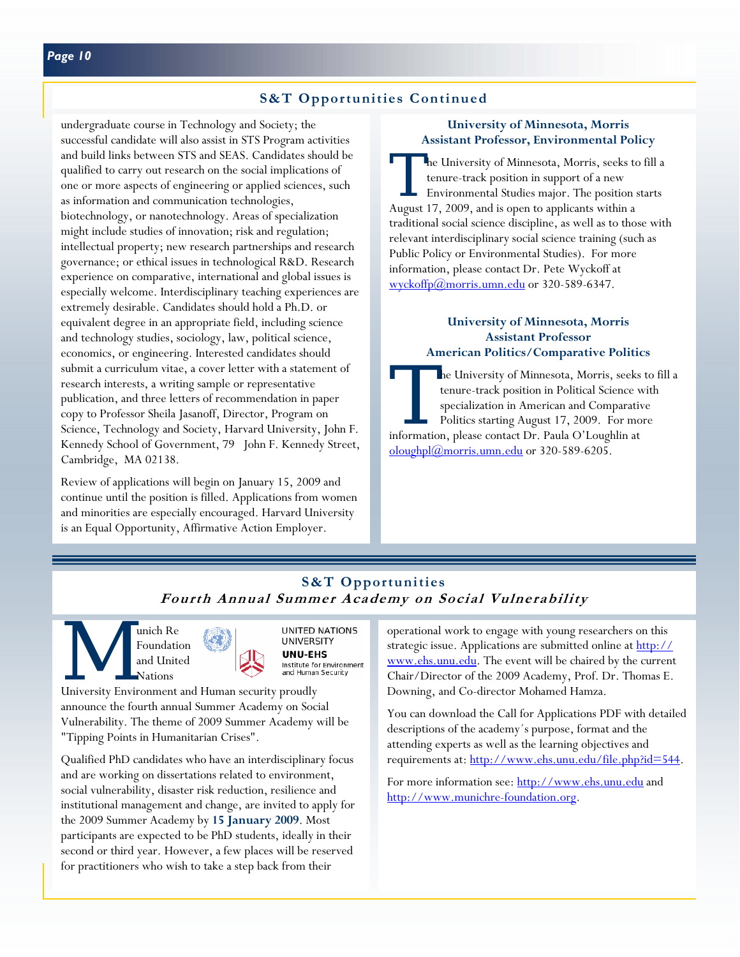undergraduate course in Technology and Society; the successful candidate will also assist in STS Program activities and build links between STS and SEAS. Candidates should be qualified to carry out research on the social implications of one or more aspects of engineering or applied sciences, such as information and communication technologies, biotechnology, or nanotechnology. Areas of specialization might include studies of innovation; risk and regulation; intellectual property; new research partnerships and research governance; or ethical issues in technological R&D. Research experience on comparative, international and global issues is especially welcome. Interdisciplinary teaching experiences are extremely desirable. Candidates should hold a Ph.D. or equivalent degree in an appropriate field, including science and technology studies, sociology, law, political science, economics, or engineering. Interested candidates should submit a curriculum vitae, a cover letter with a statement of research interests, a writing sample or representative publication, and three letters of recommendation in paper copy to Professor Sheila Jasanoff, Director, Program on Science, Technology and Society, Harvard University, John F. Kennedy School of Government, 79 John F. Kennedy Street, Cambridge, MA 02138.

Review of applications will begin on January 15, 2009 and continue until the position is filled. Applications from women and minorities are especially encouraged. Harvard University is an Equal Opportunity, Affirmative Action Employer.

## **University of Minnesota, Morris Assistant Professor, Environmental Policy**

The University of Minnesota, Morris, seeks to fill a<br>
tenure-track position in support of a new<br>
Environmental Studies major. The position starts<br>
Annual 17, 2000, and is near to prelisents within tenure-track position in support of a new August 17, 2009, and is open to applicants within a traditional social science discipline, as well as to those with relevant interdisciplinary social science training (such as Public Policy or Environmental Studies). For more information, please contact Dr. Pete Wyckoff at wyckoffp@morris.umn.edu or 320-589-6347.

## **University of Minnesota, Morris Assistant Professor American Politics/Comparative Politics**

The University of Minnesota, Morris, seeks to fill a tenure-track position in Political Science with specialization in American and Comparative Politics starting August 17, 2009. For more information, please contact Dr. Paula O'Loughlin at oloughpl@morris.umn.edu or 320-589-6205.

# **S&T Opportunities Fourth Annual Summer Academy on Social Vulnerability**

Exploration Marian School Contract of the UNIVERS and United Nations University Environment and Human security proudly Foundation and United Nations





announce the fourth annual Summer Academy on Social Vulnerability. The theme of 2009 Summer Academy will be "Tipping Points in Humanitarian Crises".

Qualified PhD candidates who have an interdisciplinary focus and are working on dissertations related to environment, social vulnerability, disaster risk reduction, resilience and institutional management and change, are invited to apply for the 2009 Summer Academy by **15 January 2009**. Most participants are expected to be PhD students, ideally in their second or third year. However, a few places will be reserved for practitioners who wish to take a step back from their

operational work to engage with young researchers on this strategic issue. Applications are submitted online at http:// www.ehs.unu.edu</u>. The event will be chaired by the current Chair/Director of the 2009 Academy, Prof. Dr. Thomas E. Downing, and Co-director Mohamed Hamza.

You can download the Call for Applications PDF with detailed descriptions of the academy´s purpose, format and the attending experts as well as the learning objectives and requirements at: http://www.ehs.unu.edu/file.php?id=544.

For more information see: http://www.ehs.unu.edu and http://www.munichre-foundation.org.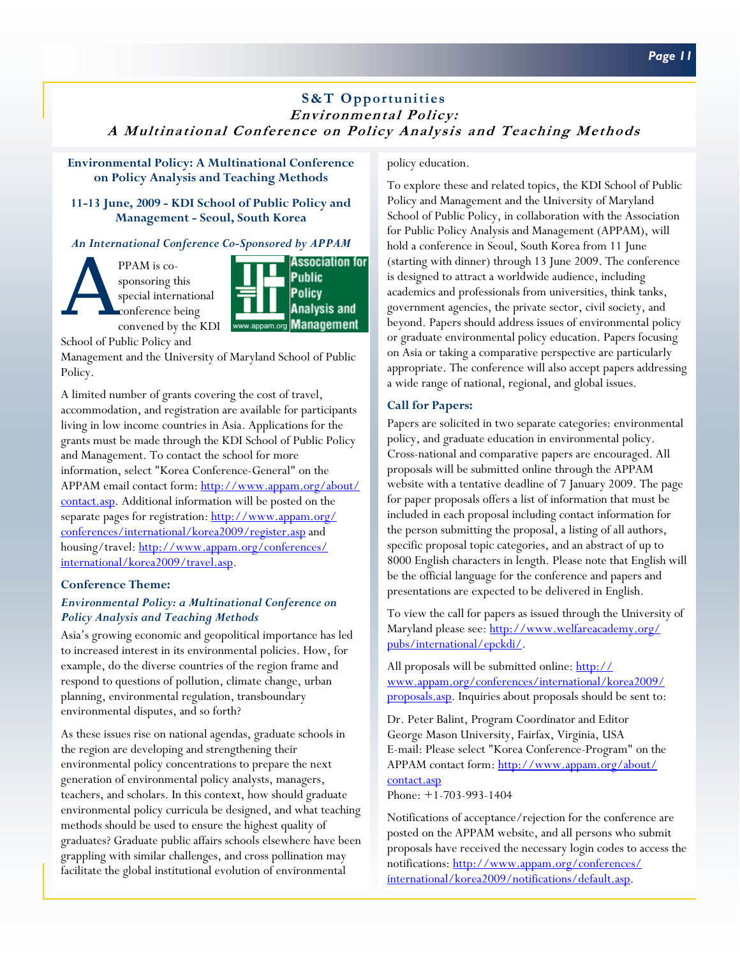## **S&T Opportunities Environmental Policy: A Multinational Conference on Policy Analysis and Teaching Methods**

**Environmental Policy: A Multinational Conference on Policy Analysis and Teaching Methods** 

**11-13 June, 2009 - KDI School of Public Policy and Management - Seoul, South Korea** 

## *An International Conference Co-Sponsored by APPAM*

PPAM is co-<br>sponsoring the special internet convened by sponsoring this special international conference being convened by the KDI

**Association for Public Policy Analysis and Management** 

School of Public Policy and

Management and the University of Maryland School of Public Policy.

A limited number of grants covering the cost of travel, accommodation, and registration are available for participants living in low income countries in Asia. Applications for the grants must be made through the KDI School of Public Policy and Management. To contact the school for more information, select "Korea Conference-General" on the APPAM email contact form: http://www.appam.org/about/ contact.asp. Additional information will be posted on the separate pages for registration: http://www.appam.org/ conferences/international/korea2009/register.asp and housing/travel: http://www.appam.org/conferences/ international/korea2009/travel.asp.

### **Conference Theme:**

## *Environmental Policy: a Multinational Conference on Policy Analysis and Teaching Methods*

Asia's growing economic and geopolitical importance has led to increased interest in its environmental policies. How, for example, do the diverse countries of the region frame and respond to questions of pollution, climate change, urban planning, environmental regulation, transboundary environmental disputes, and so forth?

As these issues rise on national agendas, graduate schools in the region are developing and strengthening their environmental policy concentrations to prepare the next generation of environmental policy analysts, managers, teachers, and scholars. In this context, how should graduate environmental policy curricula be designed, and what teaching methods should be used to ensure the highest quality of graduates? Graduate public affairs schools elsewhere have been grappling with similar challenges, and cross pollination may facilitate the global institutional evolution of environmental

#### policy education.

To explore these and related topics, the KDI School of Public Policy and Management and the University of Maryland School of Public Policy, in collaboration with the Association for Public Policy Analysis and Management (APPAM), will hold a conference in Seoul, South Korea from 11 June (starting with dinner) through 13 June 2009. The conference is designed to attract a worldwide audience, including academics and professionals from universities, think tanks, government agencies, the private sector, civil society, and beyond. Papers should address issues of environmental policy or graduate environmental policy education. Papers focusing on Asia or taking a comparative perspective are particularly appropriate. The conference will also accept papers addressing a wide range of national, regional, and global issues.

### **Call for Papers:**

Papers are solicited in two separate categories: environmental policy, and graduate education in environmental policy. Cross-national and comparative papers are encouraged. All proposals will be submitted online through the APPAM website with a tentative deadline of 7 January 2009. The page for paper proposals offers a list of information that must be included in each proposal including contact information for the person submitting the proposal, a listing of all authors, specific proposal topic categories, and an abstract of up to 8000 English characters in length. Please note that English will be the official language for the conference and papers and presentations are expected to be delivered in English.

To view the call for papers as issued through the University of Maryland please see: http://www.welfareacademy.org/ pubs/international/epckdi/.

All proposals will be submitted online: http:// www.appam.org/conferences/international/korea2009/ proposals.asp. Inquiries about proposals should be sent to:

Dr. Peter Balint, Program Coordinator and Editor George Mason University, Fairfax, Virginia, USA E-mail: Please select "Korea Conference-Program" on the APPAM contact form: http://www.appam.org/about/ contact.asp

Phone: +1-703-993-1404

Notifications of acceptance/rejection for the conference are posted on the APPAM website, and all persons who submit proposals have received the necessary login codes to access the notifications: http://www.appam.org/conferences/ international/korea2009/notifications/default.asp.